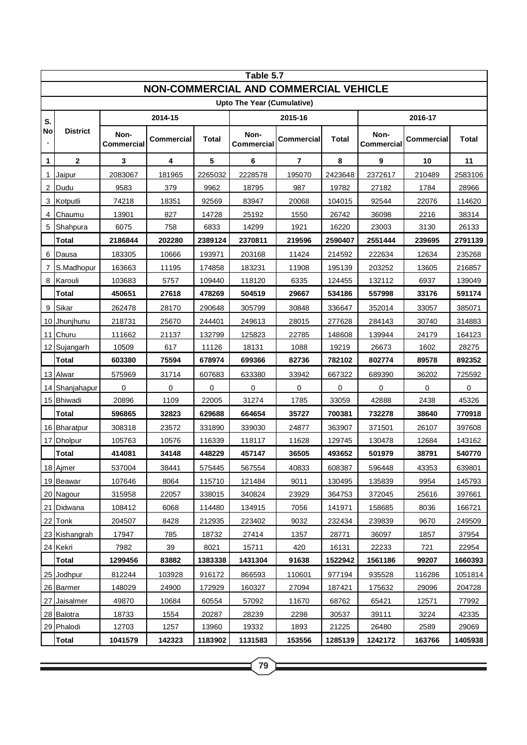| Table 5.7                             |                 |                    |            |         |                           |                   |         |                    |            |         |  |
|---------------------------------------|-----------------|--------------------|------------|---------|---------------------------|-------------------|---------|--------------------|------------|---------|--|
| NON-COMMERCIAL AND COMMERCIAL VEHICLE |                 |                    |            |         |                           |                   |         |                    |            |         |  |
| Upto The Year (Cumulative)            |                 |                    |            |         |                           |                   |         |                    |            |         |  |
| S.                                    | <b>District</b> | 2014-15            |            |         | 2015-16                   |                   |         | 2016-17            |            |         |  |
| No                                    |                 | Non-<br>Commercial | Commercial | Total   | Non-<br><b>Commercial</b> | <b>Commercial</b> | Total   | Non-<br>Commercial | Commercial | Total   |  |
| 1                                     | $\mathbf{2}$    | 3                  | 4          | 5       | 6                         | 7                 | 8       | 9                  | 10         | 11      |  |
| 1                                     | Jaipur          | 2083067            | 181965     | 2265032 | 2228578                   | 195070            | 2423648 | 2372617            | 210489     | 2583106 |  |
| 2                                     | Dudu            | 9583               | 379        | 9962    | 18795                     | 987               | 19782   | 27182              | 1784       | 28966   |  |
| 3                                     | Kotputli        | 74218              | 18351      | 92569   | 83947                     | 20068             | 104015  | 92544              | 22076      | 114620  |  |
| 4                                     | Chaumu          | 13901              | 827        | 14728   | 25192                     | 1550              | 26742   | 36098              | 2216       | 38314   |  |
| 5                                     | Shahpura        | 6075               | 758        | 6833    | 14299                     | 1921              | 16220   | 23003              | 3130       | 26133   |  |
|                                       | Total           | 2186844            | 202280     | 2389124 | 2370811                   | 219596            | 2590407 | 2551444            | 239695     | 2791139 |  |
| 6                                     | Dausa           | 183305             | 10666      | 193971  | 203168                    | 11424             | 214592  | 222634             | 12634      | 235268  |  |
| 7                                     | S.Madhopur      | 163663             | 11195      | 174858  | 183231                    | 11908             | 195139  | 203252             | 13605      | 216857  |  |
| 8                                     | Karouli         | 103683             | 5757       | 109440  | 118120                    | 6335              | 124455  | 132112             | 6937       | 139049  |  |
|                                       | <b>Total</b>    | 450651             | 27618      | 478269  | 504519                    | 29667             | 534186  | 557998             | 33176      | 591174  |  |
| 9                                     | Sikar           | 262478             | 28170      | 290648  | 305799                    | 30848             | 336647  | 352014             | 33057      | 385071  |  |
|                                       | 10 Jhunjhunu    | 218731             | 25670      | 244401  | 249613                    | 28015             | 277628  | 284143             | 30740      | 314883  |  |
|                                       | 11 Churu        | 111662             | 21137      | 132799  | 125823                    | 22785             | 148608  | 139944             | 24179      | 164123  |  |
|                                       | 12 Sujangarh    | 10509              | 617        | 11126   | 18131                     | 1088              | 19219   | 26673              | 1602       | 28275   |  |
|                                       | <b>Total</b>    | 603380             | 75594      | 678974  | 699366                    | 82736             | 782102  | 802774             | 89578      | 892352  |  |
|                                       | 13 Alwar        | 575969             | 31714      | 607683  | 633380                    | 33942             | 667322  | 689390             | 36202      | 725592  |  |
|                                       | 14 Shanjahapur  | 0                  | 0          | 0       | $\mathbf 0$               | 0                 | 0       | 0                  | 0          | 0       |  |
|                                       | 15 Bhiwadi      | 20896              | 1109       | 22005   | 31274                     | 1785              | 33059   | 42888              | 2438       | 45326   |  |
|                                       | Total           | 596865             | 32823      | 629688  | 664654                    | 35727             | 700381  | 732278             | 38640      | 770918  |  |
|                                       | 16 Bharatpur    | 308318             | 23572      | 331890  | 339030                    | 24877             | 363907  | 371501             | 26107      | 397608  |  |
|                                       | 17 Dholpur      | 105763             | 10576      | 116339  | 118117                    | 11628             | 129745  | 130478             | 12684      | 143162  |  |
|                                       | <b>Total</b>    | 414081             | 34148      | 448229  | 457147                    | 36505             | 493652  | 501979             | 38791      | 540770  |  |
|                                       | 18 Ajmer        | 537004             | 38441      | 575445  | 567554                    | 40833             | 608387  | 596448             | 43353      | 639801  |  |
|                                       | 19 Beawar       | 107646             | 8064       | 115710  | 121484                    | 9011              | 130495  | 135839             | 9954       | 145793  |  |
|                                       | 20 Nagour       | 315958             | 22057      | 338015  | 340824                    | 23929             | 364753  | 372045             | 25616      | 397661  |  |
|                                       | 21 Didwana      | 108412             | 6068       | 114480  | 134915                    | 7056              | 141971  | 158685             | 8036       | 166721  |  |
|                                       | 22 Tonk         | 204507             | 8428       | 212935  | 223402                    | 9032              | 232434  | 239839             | 9670       | 249509  |  |
|                                       | 23 Kishangrah   | 17947              | 785        | 18732   | 27414                     | 1357              | 28771   | 36097              | 1857       | 37954   |  |
|                                       | 24 Kekri        | 7982               | 39         | 8021    | 15711                     | 420               | 16131   | 22233              | 721        | 22954   |  |
|                                       | <b>Total</b>    | 1299456            | 83882      | 1383338 | 1431304                   | 91638             | 1522942 | 1561186            | 99207      | 1660393 |  |
|                                       | 25 Jodhpur      | 812244             | 103928     | 916172  | 866593                    | 110601            | 977194  | 935528             | 116286     | 1051814 |  |
|                                       | 26 Barmer       | 148029             | 24900      | 172929  | 160327                    | 27094             | 187421  | 175632             | 29096      | 204728  |  |
|                                       | 27 Jaisalmer    | 49870              | 10684      | 60554   | 57092                     | 11670             | 68762   | 65421              | 12571      | 77992   |  |
|                                       | 28 Balotra      | 18733              | 1554       | 20287   | 28239                     | 2298              | 30537   | 39111              | 3224       | 42335   |  |
|                                       | 29 Phalodi      | 12703              | 1257       | 13960   | 19332                     | 1893              | 21225   | 26480              | 2589       | 29069   |  |
|                                       | Total           | 1041579            | 142323     | 1183902 | 1131583                   | 153556            | 1285139 | 1242172            | 163766     | 1405938 |  |